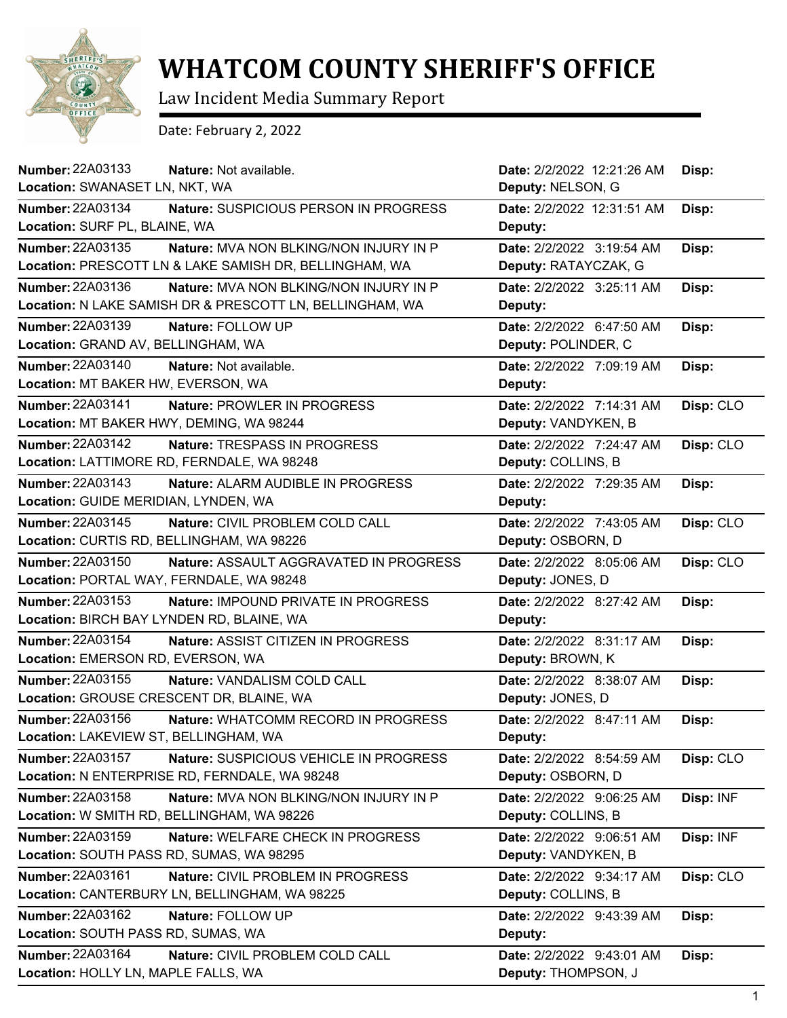

## **WHATCOM COUNTY SHERIFF'S OFFICE**

Law Incident Media Summary Report

Date: February 2, 2022

| <b>Number: 22A03133</b><br>Nature: Not available.                | Date: 2/2/2022 12:21:26 AM | Disp:     |
|------------------------------------------------------------------|----------------------------|-----------|
| Location: SWANASET LN, NKT, WA                                   | Deputy: NELSON, G          |           |
| <b>Number: 22A03134</b><br>Nature: SUSPICIOUS PERSON IN PROGRESS | Date: 2/2/2022 12:31:51 AM | Disp:     |
| Location: SURF PL, BLAINE, WA                                    | Deputy:                    |           |
| Number: 22A03135<br>Nature: MVA NON BLKING/NON INJURY IN P       | Date: 2/2/2022 3:19:54 AM  | Disp:     |
| Location: PRESCOTT LN & LAKE SAMISH DR, BELLINGHAM, WA           | Deputy: RATAYCZAK, G       |           |
| Number: 22A03136<br>Nature: MVA NON BLKING/NON INJURY IN P       | Date: 2/2/2022 3:25:11 AM  | Disp:     |
| Location: N LAKE SAMISH DR & PRESCOTT LN, BELLINGHAM, WA         | Deputy:                    |           |
| <b>Number: 22A03139</b><br>Nature: FOLLOW UP                     | Date: 2/2/2022 6:47:50 AM  | Disp:     |
| Location: GRAND AV, BELLINGHAM, WA                               | Deputy: POLINDER, C        |           |
| Number: 22A03140<br>Nature: Not available.                       | Date: 2/2/2022 7:09:19 AM  | Disp:     |
| Location: MT BAKER HW, EVERSON, WA                               | Deputy:                    |           |
| Number: 22A03141<br>Nature: PROWLER IN PROGRESS                  | Date: 2/2/2022 7:14:31 AM  | Disp: CLO |
| Location: MT BAKER HWY, DEMING, WA 98244                         | Deputy: VANDYKEN, B        |           |
| Number: 22A03142<br><b>Nature: TRESPASS IN PROGRESS</b>          | Date: 2/2/2022 7:24:47 AM  | Disp: CLO |
| Location: LATTIMORE RD, FERNDALE, WA 98248                       | Deputy: COLLINS, B         |           |
| Number: 22A03143<br><b>Nature: ALARM AUDIBLE IN PROGRESS</b>     | Date: 2/2/2022 7:29:35 AM  | Disp:     |
| Location: GUIDE MERIDIAN, LYNDEN, WA                             | Deputy:                    |           |
| <b>Number: 22A03145</b><br>Nature: CIVIL PROBLEM COLD CALL       | Date: 2/2/2022 7:43:05 AM  | Disp: CLO |
| Location: CURTIS RD, BELLINGHAM, WA 98226                        | Deputy: OSBORN, D          |           |
| Number: 22A03150<br>Nature: ASSAULT AGGRAVATED IN PROGRESS       | Date: 2/2/2022 8:05:06 AM  | Disp: CLO |
| Location: PORTAL WAY, FERNDALE, WA 98248                         | Deputy: JONES, D           |           |
| Number: 22A03153<br><b>Nature: IMPOUND PRIVATE IN PROGRESS</b>   | Date: 2/2/2022 8:27:42 AM  | Disp:     |
| Location: BIRCH BAY LYNDEN RD, BLAINE, WA                        | Deputy:                    |           |
| Number: 22A03154<br>Nature: ASSIST CITIZEN IN PROGRESS           | Date: 2/2/2022 8:31:17 AM  | Disp:     |
| Location: EMERSON RD, EVERSON, WA                                | Deputy: BROWN, K           |           |
| Number: 22A03155<br>Nature: VANDALISM COLD CALL                  | Date: 2/2/2022 8:38:07 AM  | Disp:     |
| Location: GROUSE CRESCENT DR, BLAINE, WA                         | Deputy: JONES, D           |           |
| Number: 22A03156<br>Nature: WHATCOMM RECORD IN PROGRESS          | Date: 2/2/2022 8:47:11 AM  | Disp:     |
| Location: LAKEVIEW ST, BELLINGHAM, WA                            | Deputy:                    |           |
| Number: 22A03157<br>Nature: SUSPICIOUS VEHICLE IN PROGRESS       | Date: 2/2/2022 8:54:59 AM  | Disp: CLO |
| Location: N ENTERPRISE RD, FERNDALE, WA 98248                    | Deputy: OSBORN, D          |           |
| Number: 22A03158<br>Nature: MVA NON BLKING/NON INJURY IN P       | Date: 2/2/2022 9:06:25 AM  | Disp: INF |
| Location: W SMITH RD, BELLINGHAM, WA 98226                       | Deputy: COLLINS, B         |           |
| Number: 22A03159<br>Nature: WELFARE CHECK IN PROGRESS            | Date: 2/2/2022 9:06:51 AM  | Disp: INF |
| Location: SOUTH PASS RD, SUMAS, WA 98295                         | Deputy: VANDYKEN, B        |           |
| Number: 22A03161<br>Nature: CIVIL PROBLEM IN PROGRESS            | Date: 2/2/2022 9:34:17 AM  | Disp: CLO |
| Location: CANTERBURY LN, BELLINGHAM, WA 98225                    | Deputy: COLLINS, B         |           |
| Number: 22A03162<br>Nature: FOLLOW UP                            | Date: 2/2/2022 9:43:39 AM  | Disp:     |
| Location: SOUTH PASS RD, SUMAS, WA                               | Deputy:                    |           |
| Number: 22A03164<br>Nature: CIVIL PROBLEM COLD CALL              | Date: 2/2/2022 9:43:01 AM  | Disp:     |
| Location: HOLLY LN, MAPLE FALLS, WA                              | Deputy: THOMPSON, J        |           |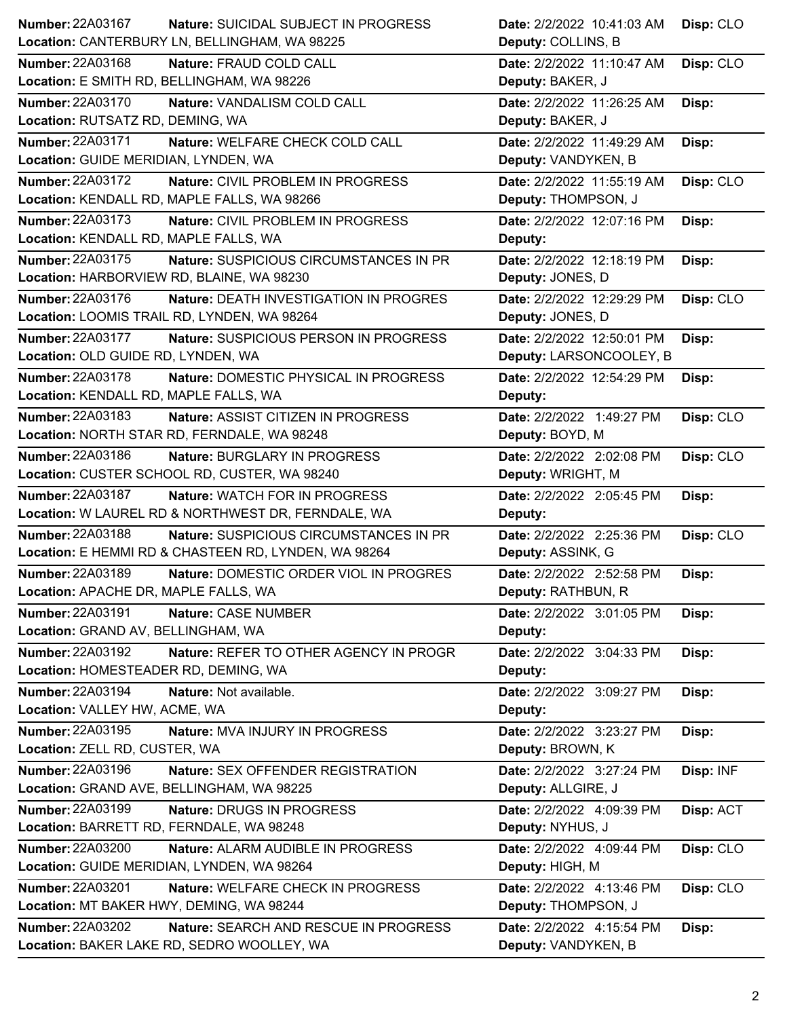| Number: 22A03167                          | <b>Nature: SUICIDAL SUBJECT IN PROGRESS</b>          | Date: 2/2/2022 10:41:03 AM | Disp: CLO |
|-------------------------------------------|------------------------------------------------------|----------------------------|-----------|
|                                           | Location: CANTERBURY LN, BELLINGHAM, WA 98225        | Deputy: COLLINS, B         |           |
| <b>Number: 22A03168</b>                   | Nature: FRAUD COLD CALL                              | Date: 2/2/2022 11:10:47 AM | Disp: CLO |
|                                           | Location: E SMITH RD, BELLINGHAM, WA 98226           | Deputy: BAKER, J           |           |
| <b>Number: 22A03170</b>                   | Nature: VANDALISM COLD CALL                          | Date: 2/2/2022 11:26:25 AM | Disp:     |
| Location: RUTSATZ RD, DEMING, WA          |                                                      | Deputy: BAKER, J           |           |
| <b>Number: 22A03171</b>                   | Nature: WELFARE CHECK COLD CALL                      | Date: 2/2/2022 11:49:29 AM | Disp:     |
| Location: GUIDE MERIDIAN, LYNDEN, WA      |                                                      | Deputy: VANDYKEN, B        |           |
| <b>Number: 22A03172</b>                   | Nature: CIVIL PROBLEM IN PROGRESS                    | Date: 2/2/2022 11:55:19 AM | Disp: CLO |
|                                           | Location: KENDALL RD, MAPLE FALLS, WA 98266          | Deputy: THOMPSON, J        |           |
| Number: 22A03173                          | Nature: CIVIL PROBLEM IN PROGRESS                    | Date: 2/2/2022 12:07:16 PM | Disp:     |
| Location: KENDALL RD, MAPLE FALLS, WA     |                                                      | Deputy:                    |           |
| Number: 22A03175                          | Nature: SUSPICIOUS CIRCUMSTANCES IN PR               | Date: 2/2/2022 12:18:19 PM | Disp:     |
| Location: HARBORVIEW RD, BLAINE, WA 98230 |                                                      | Deputy: JONES, D           |           |
| Number: 22A03176                          | Nature: DEATH INVESTIGATION IN PROGRES               | Date: 2/2/2022 12:29:29 PM | Disp: CLO |
|                                           | Location: LOOMIS TRAIL RD, LYNDEN, WA 98264          | Deputy: JONES, D           |           |
| <b>Number: 22A03177</b>                   | Nature: SUSPICIOUS PERSON IN PROGRESS                | Date: 2/2/2022 12:50:01 PM | Disp:     |
| Location: OLD GUIDE RD, LYNDEN, WA        |                                                      | Deputy: LARSONCOOLEY, B    |           |
| Number: 22A03178                          | Nature: DOMESTIC PHYSICAL IN PROGRESS                | Date: 2/2/2022 12:54:29 PM | Disp:     |
| Location: KENDALL RD, MAPLE FALLS, WA     |                                                      | Deputy:                    |           |
| Number: 22A03183                          | <b>Nature: ASSIST CITIZEN IN PROGRESS</b>            | Date: 2/2/2022 1:49:27 PM  | Disp: CLO |
|                                           | Location: NORTH STAR RD, FERNDALE, WA 98248          | Deputy: BOYD, M            |           |
| Number: 22A03186                          | Nature: BURGLARY IN PROGRESS                         | Date: 2/2/2022 2:02:08 PM  | Disp: CLO |
|                                           | Location: CUSTER SCHOOL RD, CUSTER, WA 98240         | Deputy: WRIGHT, M          |           |
|                                           |                                                      |                            |           |
| <b>Number: 22A03187</b>                   | Nature: WATCH FOR IN PROGRESS                        | Date: 2/2/2022 2:05:45 PM  | Disp:     |
|                                           | Location: W LAUREL RD & NORTHWEST DR, FERNDALE, WA   | Deputy:                    |           |
| Number: 22A03188                          | <b>Nature: SUSPICIOUS CIRCUMSTANCES IN PR</b>        | Date: 2/2/2022 2:25:36 PM  | Disp: CLO |
|                                           | Location: E HEMMI RD & CHASTEEN RD, LYNDEN, WA 98264 | Deputy: ASSINK, G          |           |
| <b>Number: 22A03189</b>                   | Nature: DOMESTIC ORDER VIOL IN PROGRES               | Date: 2/2/2022 2:52:58 PM  | Disp:     |
| Location: APACHE DR, MAPLE FALLS, WA      |                                                      | Deputy: RATHBUN, R         |           |
| Number: 22A03191                          | Nature: CASE NUMBER                                  | Date: 2/2/2022 3:01:05 PM  | Disp:     |
| Location: GRAND AV, BELLINGHAM, WA        |                                                      | Deputy:                    |           |
| Number: 22A03192                          | Nature: REFER TO OTHER AGENCY IN PROGR               | Date: 2/2/2022 3:04:33 PM  | Disp:     |
| Location: HOMESTEADER RD, DEMING, WA      |                                                      | Deputy:                    |           |
| Number: 22A03194                          | Nature: Not available.                               | Date: 2/2/2022 3:09:27 PM  | Disp:     |
| Location: VALLEY HW, ACME, WA             |                                                      | Deputy:                    |           |
| Number: 22A03195                          | Nature: MVA INJURY IN PROGRESS                       | Date: 2/2/2022 3:23:27 PM  | Disp:     |
| Location: ZELL RD, CUSTER, WA             |                                                      | Deputy: BROWN, K           |           |
| Number: 22A03196                          | Nature: SEX OFFENDER REGISTRATION                    | Date: 2/2/2022 3:27:24 PM  | Disp: INF |
|                                           | Location: GRAND AVE, BELLINGHAM, WA 98225            | Deputy: ALLGIRE, J         |           |
| Number: 22A03199                          | Nature: DRUGS IN PROGRESS                            | Date: 2/2/2022 4:09:39 PM  | Disp: ACT |
| Location: BARRETT RD, FERNDALE, WA 98248  |                                                      | Deputy: NYHUS, J           |           |
| Number: 22A03200                          | Nature: ALARM AUDIBLE IN PROGRESS                    | Date: 2/2/2022 4:09:44 PM  | Disp: CLO |
|                                           | Location: GUIDE MERIDIAN, LYNDEN, WA 98264           | Deputy: HIGH, M            |           |
| Number: 22A03201                          | Nature: WELFARE CHECK IN PROGRESS                    | Date: 2/2/2022 4:13:46 PM  | Disp: CLO |
| Location: MT BAKER HWY, DEMING, WA 98244  |                                                      | Deputy: THOMPSON, J        |           |
| <b>Number: 22A03202</b>                   | Nature: SEARCH AND RESCUE IN PROGRESS                | Date: 2/2/2022 4:15:54 PM  | Disp:     |